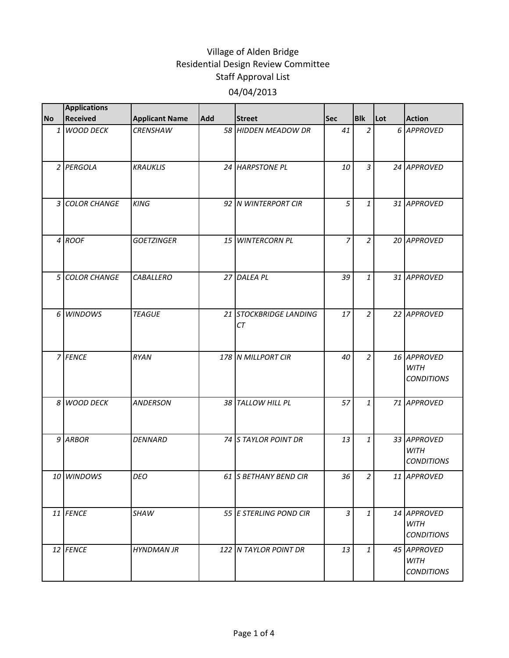| <b>No</b>      | <b>Applications</b><br><b>Received</b> | <b>Applicant Name</b> | <b>Add</b> | <b>Street</b>                | Sec | <b>Blk</b>     | Lot | <b>Action</b>                                   |
|----------------|----------------------------------------|-----------------------|------------|------------------------------|-----|----------------|-----|-------------------------------------------------|
|                | 1 WOOD DECK                            | <b>CRENSHAW</b>       |            | 58 HIDDEN MEADOW DR          | 41  | $\overline{2}$ |     | 6 APPROVED                                      |
|                | 2 PERGOLA                              | <b>KRAUKLIS</b>       |            | 24 HARPSTONE PL              | 10  | $\overline{3}$ |     | 24 APPROVED                                     |
|                | 3 COLOR CHANGE                         | <b>KING</b>           |            | 92 N WINTERPORT CIR          | 5   | $\mathbf{1}$   |     | 31 APPROVED                                     |
|                | 4 ROOF                                 | <b>GOETZINGER</b>     |            | 15 WINTERCORN PL             | 7   | $\overline{2}$ |     | 20 APPROVED                                     |
|                | 5 COLOR CHANGE                         | <b>CABALLERO</b>      |            | 27 DALEA PL                  | 39  | $\mathbf{1}$   |     | 31 APPROVED                                     |
|                | 6 WINDOWS                              | <b>TEAGUE</b>         |            | 21 STOCKBRIDGE LANDING<br>СT | 17  | $\overline{a}$ |     | 22 APPROVED                                     |
|                | 7 FENCE                                | RYAN                  |            | 178 N MILLPORT CIR           | 40  | $\overline{2}$ |     | 16 APPROVED<br><b>WITH</b><br><b>CONDITIONS</b> |
| 8 <sup>1</sup> | <b>WOOD DECK</b>                       | <b>ANDERSON</b>       |            | 38 TALLOW HILL PL            | 57  | $\mathbf{1}$   |     | 71 APPROVED                                     |
|                | 9 ARBOR                                | <b>DENNARD</b>        |            | 74 S TAYLOR POINT DR         | 13  | $\mathbf{1}$   |     | 33 APPROVED<br><b>WITH</b><br><b>CONDITIONS</b> |
|                | 10 WINDOWS                             | DEO                   |            | 61 S BETHANY BEND CIR        | 36  | $\mathcal{P}$  |     | 11 APPROVED                                     |
|                | 11 FENCE                               | <b>SHAW</b>           |            | 55 E STERLING POND CIR       | 3   | $\mathbf{1}$   |     | 14 APPROVED<br><b>WITH</b><br><b>CONDITIONS</b> |
|                | 12 FENCE                               | <b>HYNDMAN JR</b>     |            | 122 N TAYLOR POINT DR        | 13  | 1              |     | 45 APPROVED<br><b>WITH</b><br><b>CONDITIONS</b> |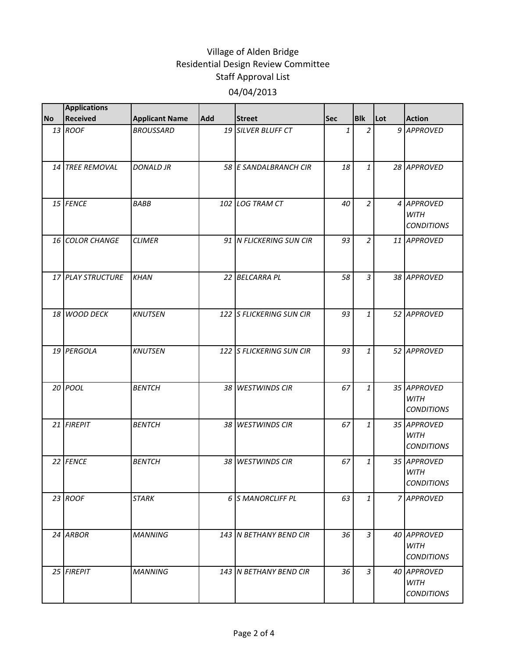| <b>No</b> | <b>Applications</b><br>Received | <b>Applicant Name</b> | Add | <b>Street</b>            | <b>Sec</b> | <b>Blk</b>     | Lot | <b>Action</b>                                   |
|-----------|---------------------------------|-----------------------|-----|--------------------------|------------|----------------|-----|-------------------------------------------------|
|           | 13 ROOF                         | <b>BROUSSARD</b>      |     | 19 SILVER BLUFF CT       | 1          | $\overline{2}$ |     | 9 APPROVED                                      |
|           |                                 |                       |     |                          |            |                |     |                                                 |
|           | 14 TREE REMOVAL                 | <b>DONALD JR</b>      |     | 58 E SANDALBRANCH CIR    | 18         | $\mathbf{1}$   |     | 28 APPROVED                                     |
|           | 15 FENCE                        | <b>BABB</b>           |     | 102 LOG TRAM CT          | 40         | $\overline{a}$ |     | 4 APPROVED<br><b>WITH</b><br><b>CONDITIONS</b>  |
|           | 16 COLOR CHANGE                 | <b>CLIMER</b>         |     | 91 N FLICKERING SUN CIR  | 93         | $\overline{a}$ |     | 11 APPROVED                                     |
|           | 17 PLAY STRUCTURE               | <b>KHAN</b>           |     | 22 BELCARRA PL           | 58         | $\overline{3}$ |     | 38 APPROVED                                     |
|           | 18 WOOD DECK                    | <b>KNUTSEN</b>        |     | 122 S FLICKERING SUN CIR | 93         | $\mathbf{1}$   |     | 52 APPROVED                                     |
|           | 19 PERGOLA                      | <b>KNUTSEN</b>        |     | 122 S FLICKERING SUN CIR | 93         | $\mathbf{1}$   |     | 52 APPROVED                                     |
|           | 20 POOL                         | <b>BENTCH</b>         |     | 38 WESTWINDS CIR         | 67         | $\mathbf{1}$   |     | 35 APPROVED<br><b>WITH</b><br><b>CONDITIONS</b> |
|           | 21 FIREPIT                      | <b>BENTCH</b>         |     | 38 WESTWINDS CIR         | 67         | 1              |     | 35 APPROVED<br><b>WITH</b><br><b>CONDITIONS</b> |
|           | 22 FENCE                        | <b>BENTCH</b>         |     | 38 WESTWINDS CIR         | 67         | $\mathbf{1}$   |     | 35 APPROVED<br><b>WITH</b><br><b>CONDITIONS</b> |
|           | 23 ROOF                         | <b>STARK</b>          |     | 6 S MANORCLIFF PL        | 63         | $\mathbf{1}$   |     | 7 APPROVED                                      |
|           | 24 ARBOR                        | <b>MANNING</b>        |     | 143 N BETHANY BEND CIR   | 36         | $\overline{3}$ |     | 40 APPROVED<br><b>WITH</b><br><b>CONDITIONS</b> |
|           | 25 FIREPIT                      | <b>MANNING</b>        |     | 143 N BETHANY BEND CIR   | 36         | 3              |     | 40 APPROVED<br><b>WITH</b><br><b>CONDITIONS</b> |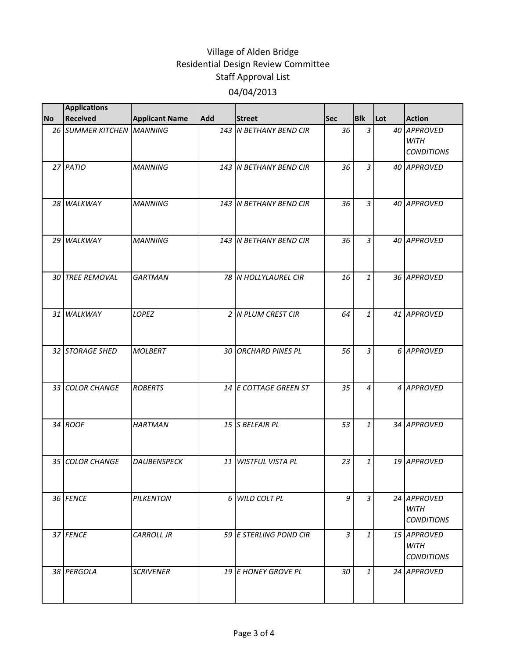|           | <b>Applications</b>       |                       |                 |                         |            |                |     |                                                 |
|-----------|---------------------------|-----------------------|-----------------|-------------------------|------------|----------------|-----|-------------------------------------------------|
| <b>No</b> | Received                  | <b>Applicant Name</b> | Add             | <b>Street</b>           | <b>Sec</b> | <b>Blk</b>     | Lot | <b>Action</b>                                   |
|           | 26 SUMMER KITCHEN MANNING |                       |                 | 143 N BETHANY BEND CIR  | 36         | $\mathfrak{Z}$ |     | 40 APPROVED<br><b>WITH</b><br><b>CONDITIONS</b> |
|           | 27 PATIO                  | <b>MANNING</b>        |                 | 143 N BETHANY BEND CIR  | 36         | $\overline{3}$ |     | 40 APPROVED                                     |
|           | 28 WALKWAY                | <b>MANNING</b>        |                 | 143 N BETHANY BEND CIR  | 36         | 3              |     | 40 APPROVED                                     |
|           | 29 WALKWAY                | <b>MANNING</b>        |                 | 143 N BETHANY BEND CIR  | 36         | $\mathfrak{Z}$ |     | 40 APPROVED                                     |
|           | 30 TREE REMOVAL           | <b>GARTMAN</b>        |                 | 78 N HOLLYLAUREL CIR    | 16         | $\mathbf{1}$   |     | 36 APPROVED                                     |
|           | 31 WALKWAY                | LOPEZ                 |                 | 2 N PLUM CREST CIR      | 64         | $\mathbf{1}$   |     | 41 APPROVED                                     |
|           | 32 STORAGE SHED           | <b>MOLBERT</b>        |                 | 30 ORCHARD PINES PL     | 56         | $\mathfrak{Z}$ |     | 6 APPROVED                                      |
|           | 33 COLOR CHANGE           | <b>ROBERTS</b>        |                 | 14 E COTTAGE GREEN ST   | 35         | 4              |     | 4 APPROVED                                      |
|           | 34 ROOF                   | <b>HARTMAN</b>        |                 | 15 S BELFAIR PL         | 53         | $\mathbf{1}$   |     | 34 APPROVED                                     |
|           | 35 COLOR CHANGE           | <b>DAUBENSPECK</b>    | 11 <sup>1</sup> | <b>WISTFUL VISTA PL</b> | 23         | $\mathbf{1}$   |     | 19 APPROVED                                     |
|           | 36 FENCE                  | PILKENTON             |                 | 6 WILD COLT PL          | 9          | 3              |     | 24 APPROVED<br><b>WITH</b><br><b>CONDITIONS</b> |
|           | 37 FENCE                  | <b>CARROLL JR</b>     |                 | 59 E STERLING POND CIR  | 3          | $\mathbf{1}$   |     | 15 APPROVED<br><b>WITH</b><br><b>CONDITIONS</b> |
|           | 38 PERGOLA                | <b>SCRIVENER</b>      |                 | 19 E HONEY GROVE PL     | 30         | $\mathbf{1}$   |     | 24 APPROVED                                     |